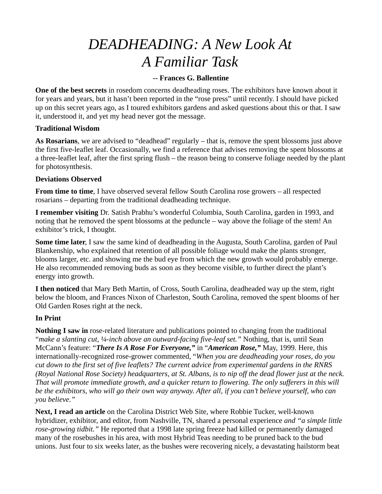# *DEADHEADING: A New Look At A Familiar Task*

# **-- Frances G. Ballentine**

**One of the best secrets** in rosedom concerns deadheading roses. The exhibitors have known about it for years and years, but it hasn't been reported in the "rose press" until recently. I should have picked up on this secret years ago, as I toured exhibitors gardens and asked questions about this or that. I saw it, understood it, and yet my head never got the message.

## **Traditional Wisdom**

**As Rosarians**, we are advised to "deadhead" regularly – that is, remove the spent blossoms just above the first five-leaflet leaf. Occasionally, we find a reference that advises removing the spent blossoms at a three-leaflet leaf, after the first spring flush – the reason being to conserve foliage needed by the plant for photosynthesis.

#### **Deviations Observed**

**From time to time**, I have observed several fellow South Carolina rose growers – all respected rosarians – departing from the traditional deadheading technique.

**I remember visiting** Dr. Satish Prabhu's wonderful Columbia, South Carolina, garden in 1993, and noting that he removed the spent blossoms at the peduncle – way above the foliage of the stem! An exhibitor's trick, I thought.

**Some time later**, I saw the same kind of deadheading in the Augusta, South Carolina, garden of Paul Blankenship, who explained that retention of all possible foliage would make the plants stronger, blooms larger, etc. and showing me the bud eye from which the new growth would probably emerge. He also recommended removing buds as soon as they become visible, to further direct the plant's energy into growth.

**I then noticed** that Mary Beth Martin, of Cross, South Carolina, deadheaded way up the stem, right below the bloom, and Frances Nixon of Charleston, South Carolina, removed the spent blooms of her Old Garden Roses right at the neck.

## **In Print**

**Nothing I saw in** rose-related literature and publications pointed to changing from the traditional "*make a slanting cut, ¼-inch above an outward-facing five-leaf set."* Nothing, that is, until Sean McCann's feature: "*There Is A Rose For Everyone,"* in "*American Rose,"* May, 1999. Here, this internationally-recognized rose-grower commented, "*When you are deadheading your roses, do you cut down to the first set of five leaflets? The current advice from experimental gardens in the RNRS (Royal National Rose Society) headquarters, at St. Albans, is to nip off the dead flower just at the neck. That will promote immediate growth, and a quicker return to flowering. The only sufferers in this will be the exhibitors, who will go their own way anyway. After all, if you can't believe yourself, who can you believe."*

**Next, I read an article** on the Carolina District Web Site, where Robbie Tucker, well-known hybridizer, exhibitor, and editor, from Nashville, TN, shared a personal experience *and "a simple little rose-growing tidbit."* He reported that a 1998 late spring freeze had killed or permanently damaged many of the rosebushes in his area, with most Hybrid Teas needing to be pruned back to the bud unions. Just four to six weeks later, as the bushes were recovering nicely, a devastating hailstorm beat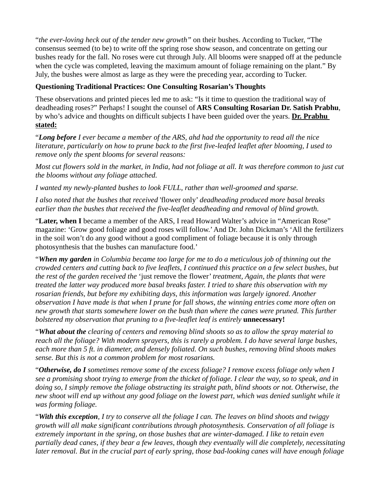"*the ever-loving heck out of the tender new growth"* on their bushes. According to Tucker, "The consensus seemed (to be) to write off the spring rose show season, and concentrate on getting our bushes ready for the fall. No roses were cut through July. All blooms were snapped off at the peduncle when the cycle was completed, leaving the maximum amount of foliage remaining on the plant." By July, the bushes were almost as large as they were the preceding year, according to Tucker.

# **Questioning Traditional Practices: One Consulting Rosarian's Thoughts**

These observations and printed pieces led me to ask: "Is it time to question the traditional way of deadheading roses?" Perhaps! I sought the counsel of **ARS Consulting Rosarian Dr. Satish Prabhu**, by who's advice and thoughts on difficult subjects I have been guided over the years. **Dr. Prabhu stated:**

"*Long before I ever became a member of the ARS, ahd had the opportunity to read all the nice literature, particularly on how to prune back to the first five-leafed leaflet after blooming, I used to remove only the spent blooms for several reasons:*

*Most cut flowers sold in the market, in India, had not foliage at all. It was therefore common to just cut the blooms without any foliage attached.*

*I wanted my newly-planted bushes to look FULL, rather than well-groomed and sparse.*

*I also noted that the bushes that received* 'flower only' *deadheading produced more basal breaks earlier than the bushes that received the five-leaflet deadheading and removal of blind growth.*

"**Later, when I** became a member of the ARS, I read Howard Walter's advice in "American Rose" magazine: 'Grow good foliage and good roses will follow.' And Dr. John Dickman's 'All the fertilizers in the soil won't do any good without a good compliment of foliage because it is only through photosynthesis that the bushes can manufacture food.'

"*When my garden in Columbia became too large for me to do a meticulous job of thinning out the crowded centers and cutting back to five leaflets, I continued this practice on a few select bushes, but the rest of the garden received the* 'just remove the flower' *treatment, Again, the plants that were treated the latter way produced more basal breaks faster. I tried to share this observation with my rosarian friends, but before my exhibiting days, this information was largely ignored. Another observation I have made is that when I prune for fall shows, the winning entries come more often on*  new growth that starts somewhere lower on the bush than where the canes were pruned. This further *bolstered my observation that pruning to a five-leaflet leaf is entirely unnecessary!* 

"*What about the clearing of centers and removing blind shoots so as to allow the spray material to reach all the foliage? With modern sprayers, this is rarely a problem. I do have several large bushes, each more than 5 ft. in diameter, and densely foliated. On such bushes, removing blind shoots makes sense. But this is not a common problem for most rosarians.*

"*Otherwise, do I sometimes remove some of the excess foliage? I remove excess foliage only when I see a promising shoot trying to emerge from the thicket of foliage. I clear the way, so to speak, and in doing so, I simply remove the foliage obstructing its straight path, blind shoots or not. Otherwise, the new shoot will end up without any good foliage on the lowest part, which was denied sunlight while it was forming foliage.*

"*With this exception, I try to conserve all the foliage I can. The leaves on blind shoots and twiggy growth will all make significant contributions through photosynthesis. Conservation of all foliage is extremely important in the spring, on those bushes that are winter-damaged. I like to retain even partially dead canes, if they bear a few leaves, though they eventually will die completely, necessitating later removal. But in the crucial part of early spring, those bad-looking canes will have enough foliage*